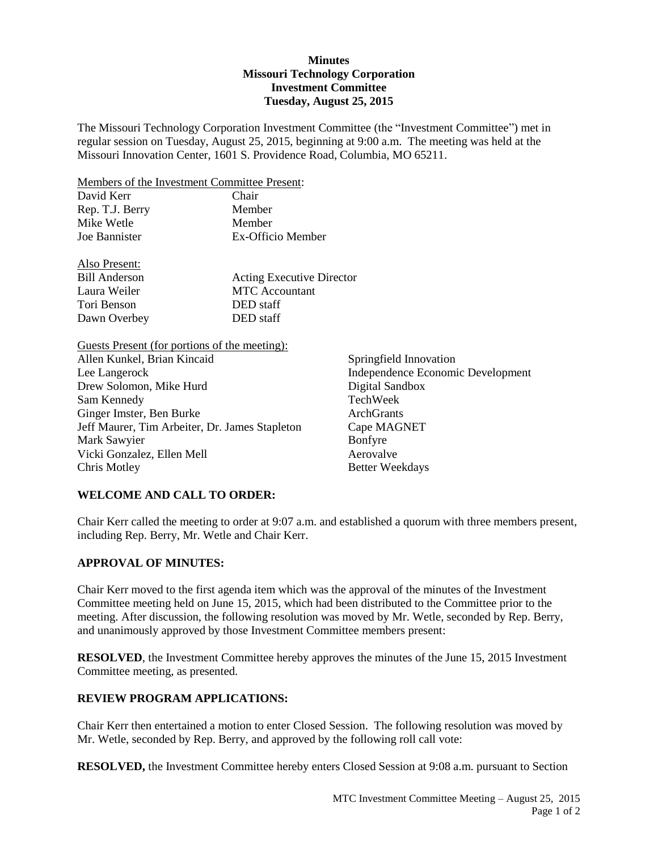# **Minutes Missouri Technology Corporation Investment Committee Tuesday, August 25, 2015**

The Missouri Technology Corporation Investment Committee (the "Investment Committee") met in regular session on Tuesday, August 25, 2015, beginning at 9:00 a.m. The meeting was held at the Missouri Innovation Center, 1601 S. Providence Road, Columbia, MO 65211.

Members of the Investment Committee Present:

| David Kerr           | Chair                            |  |
|----------------------|----------------------------------|--|
| Rep. T.J. Berry      | Member                           |  |
| Mike Wetle           | Member                           |  |
| Joe Bannister        | Ex-Officio Member                |  |
| Also Present:        |                                  |  |
| <b>Bill Anderson</b> | <b>Acting Executive Director</b> |  |
| Laura Weiler         | <b>MTC</b> Accountant            |  |
| Tori Benson          | DED staff                        |  |
| Dawn Overbey         | DED staff                        |  |
|                      |                                  |  |

Guests Present (for portions of the meeting): Allen Kunkel, Brian Kincaid Springfield Innovation Lee Langerock Independence Economic Development Drew Solomon, Mike Hurd Digital Sandbox Sam Kennedy TechWeek Ginger Imster, Ben Burke ArchGrants Jeff Maurer, Tim Arbeiter, Dr. James Stapleton Cape MAGNET Mark Sawyier Bonfyre Vicki Gonzalez, Ellen Mell Aerovalve Chris Motley Better Weekdays

# **WELCOME AND CALL TO ORDER:**

Chair Kerr called the meeting to order at 9:07 a.m. and established a quorum with three members present, including Rep. Berry, Mr. Wetle and Chair Kerr.

# **APPROVAL OF MINUTES:**

Chair Kerr moved to the first agenda item which was the approval of the minutes of the Investment Committee meeting held on June 15, 2015, which had been distributed to the Committee prior to the meeting. After discussion, the following resolution was moved by Mr. Wetle, seconded by Rep. Berry, and unanimously approved by those Investment Committee members present:

**RESOLVED**, the Investment Committee hereby approves the minutes of the June 15, 2015 Investment Committee meeting, as presented.

# **REVIEW PROGRAM APPLICATIONS:**

Chair Kerr then entertained a motion to enter Closed Session. The following resolution was moved by Mr. Wetle, seconded by Rep. Berry, and approved by the following roll call vote:

**RESOLVED,** the Investment Committee hereby enters Closed Session at 9:08 a.m. pursuant to Section